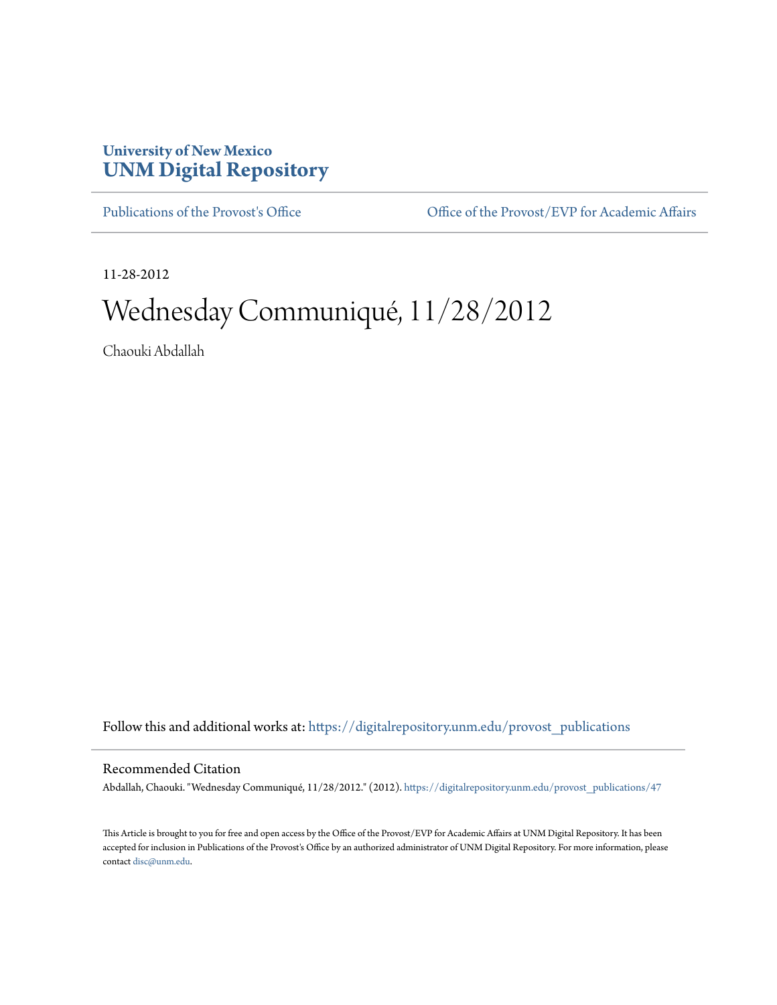## **University of New Mexico [UNM Digital Repository](https://digitalrepository.unm.edu?utm_source=digitalrepository.unm.edu%2Fprovost_publications%2F47&utm_medium=PDF&utm_campaign=PDFCoverPages)**

[Publications of the Provost's Office](https://digitalrepository.unm.edu/provost_publications?utm_source=digitalrepository.unm.edu%2Fprovost_publications%2F47&utm_medium=PDF&utm_campaign=PDFCoverPages) Office [Office of the Provost/EVP for Academic Affairs](https://digitalrepository.unm.edu/ofc_provost?utm_source=digitalrepository.unm.edu%2Fprovost_publications%2F47&utm_medium=PDF&utm_campaign=PDFCoverPages)

11-28-2012

# Wednesday Communiqué, 11/28/2012

Chaouki Abdallah

Follow this and additional works at: [https://digitalrepository.unm.edu/provost\\_publications](https://digitalrepository.unm.edu/provost_publications?utm_source=digitalrepository.unm.edu%2Fprovost_publications%2F47&utm_medium=PDF&utm_campaign=PDFCoverPages)

#### Recommended Citation

Abdallah, Chaouki. "Wednesday Communiqué, 11/28/2012." (2012). [https://digitalrepository.unm.edu/provost\\_publications/47](https://digitalrepository.unm.edu/provost_publications/47?utm_source=digitalrepository.unm.edu%2Fprovost_publications%2F47&utm_medium=PDF&utm_campaign=PDFCoverPages)

This Article is brought to you for free and open access by the Office of the Provost/EVP for Academic Affairs at UNM Digital Repository. It has been accepted for inclusion in Publications of the Provost's Office by an authorized administrator of UNM Digital Repository. For more information, please contact [disc@unm.edu.](mailto:disc@unm.edu)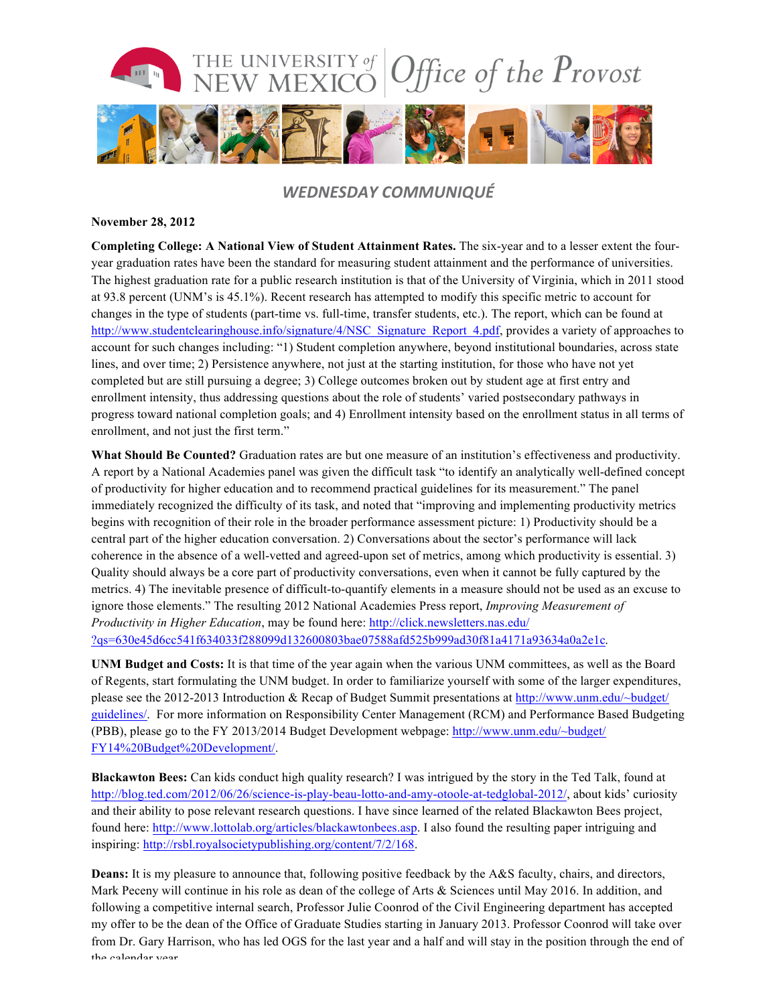

### *WEDNESDAY COMMUNIQUÉ*

#### **November 28, 2012**

**Completing College: A National View of Student Attainment Rates.** The six-year and to a lesser extent the fouryear graduation rates have been the standard for measuring student attainment and the performance of universities. The highest graduation rate for a public research institution is that of the University of Virginia, which in 2011 stood at 93.8 percent (UNM's is 45.1%). Recent research has attempted to modify this specific metric to account for changes in the type of students (part-time vs. full-time, transfer students, etc.). The report, which can be found at http://www.studentclearinghouse.info/signature/4/NSC\_Signature\_Report\_4.pdf, provides a variety of approaches to account for such changes including: "1) Student completion anywhere, beyond institutional boundaries, across state lines, and over time; 2) Persistence anywhere, not just at the starting institution, for those who have not yet completed but are still pursuing a degree; 3) College outcomes broken out by student age at first entry and enrollment intensity, thus addressing questions about the role of students' varied postsecondary pathways in progress toward national completion goals; and 4) Enrollment intensity based on the enrollment status in all terms of enrollment, and not just the first term."

**What Should Be Counted?** Graduation rates are but one measure of an institution's effectiveness and productivity. A report by a National Academies panel was given the difficult task "to identify an analytically well-defined concept of productivity for higher education and to recommend practical guidelines for its measurement." The panel immediately recognized the difficulty of its task, and noted that "improving and implementing productivity metrics begins with recognition of their role in the broader performance assessment picture: 1) Productivity should be a central part of the higher education conversation. 2) Conversations about the sector's performance will lack coherence in the absence of a well-vetted and agreed-upon set of metrics, among which productivity is essential. 3) Quality should always be a core part of productivity conversations, even when it cannot be fully captured by the metrics. 4) The inevitable presence of difficult-to-quantify elements in a measure should not be used as an excuse to ignore those elements." The resulting 2012 National Academies Press report, *Improving Measurement of Productivity in Higher Education*, may be found here: http://click.newsletters.nas.edu/ ?qs=630e45d6cc541f634033f288099d132600803bae07588afd525b999ad30f81a4171a93634a0a2e1c.

**UNM Budget and Costs:** It is that time of the year again when the various UNM committees, as well as the Board of Regents, start formulating the UNM budget. In order to familiarize yourself with some of the larger expenditures, please see the 2012-2013 Introduction & Recap of Budget Summit presentations at http://www.unm.edu/~budget/ guidelines/. For more information on Responsibility Center Management (RCM) and Performance Based Budgeting (PBB), please go to the FY 2013/2014 Budget Development webpage: http://www.unm.edu/~budget/ FY14%20Budget%20Development/.

**Blackawton Bees:** Can kids conduct high quality research? I was intrigued by the story in the Ted Talk, found at http://blog.ted.com/2012/06/26/science-is-play-beau-lotto-and-amy-otoole-at-tedglobal-2012/, about kids' curiosity and their ability to pose relevant research questions. I have since learned of the related Blackawton Bees project, found here: http://www.lottolab.org/articles/blackawtonbees.asp. I also found the resulting paper intriguing and inspiring: http://rsbl.royalsocietypublishing.org/content/7/2/168.

**Deans:** It is my pleasure to announce that, following positive feedback by the A&S faculty, chairs, and directors, Mark Peceny will continue in his role as dean of the college of Arts & Sciences until May 2016. In addition, and following a competitive internal search, Professor Julie Coonrod of the Civil Engineering department has accepted my offer to be the dean of the Office of Graduate Studies starting in January 2013. Professor Coonrod will take over from Dr. Gary Harrison, who has led OGS for the last year and a half and will stay in the position through the end of the calendar year.